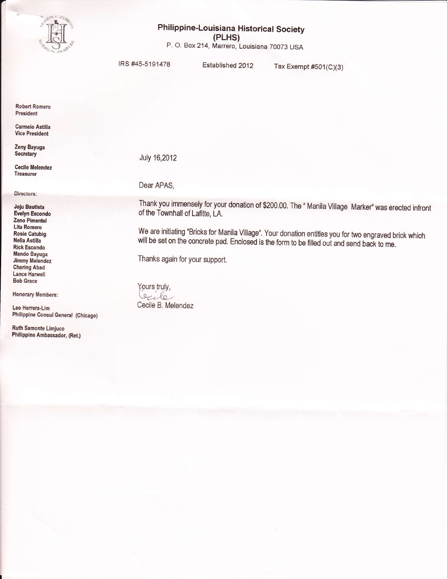

## Philippine-Louisiana Historical Society (PLHS)

P. O. Box 214, Marrero, Louisiana 70073 USA

IRS #45-5191478

Established 2012

Tax Exempt  $#501(C)(3)$ 

**Robert Romero** President

Carmelo Astilla **Vice President** 

Zeny Bayuga Secretary

**Cecile Melendez Treasurer** 

Directors:

**Joju Bautista Evelyn Escondo** Zeno Pimentel **Lita Romero Rosie Catubig** Nelia Astilla **Rick Escondo Mando Bayuga Jimmy Melendez Charing Abad Lance Harwell Bob Grace** 

**Honorary Members:** 

Leo Herrera-Lim Philippine Consul General (Chicago)

**Ruth Samonte Limjuco** Philippine Ambassador, (Ret.) July 16,2012

Dear APAS,

Thank you immensely for your donation of \$200.00. The " Manila Village Marker" was erected infront of the Townhall of Lafitte, LA.

We are initiating "Bricks for Manila Village". Your donation entitles you for two engraved brick which will be set on the concrete pad. Enclosed is the form to be filled out and send back to me.

Thanks again for your support.

Yours truly, Ocile Cecile B. Melendez